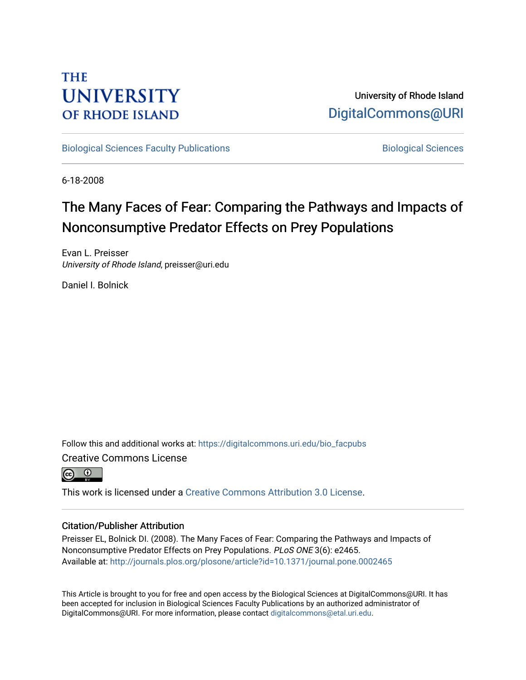## **THE UNIVERSITY OF RHODE ISLAND**

University of Rhode Island [DigitalCommons@URI](https://digitalcommons.uri.edu/) 

[Biological Sciences Faculty Publications](https://digitalcommons.uri.edu/bio_facpubs) **Biological Sciences** Biological Sciences

6-18-2008

# The Many Faces of Fear: Comparing the Pathways and Impacts of Nonconsumptive Predator Effects on Prey Populations

Evan L. Preisser University of Rhode Island, preisser@uri.edu

Daniel I. Bolnick

Follow this and additional works at: [https://digitalcommons.uri.edu/bio\\_facpubs](https://digitalcommons.uri.edu/bio_facpubs?utm_source=digitalcommons.uri.edu%2Fbio_facpubs%2F59&utm_medium=PDF&utm_campaign=PDFCoverPages)  Creative Commons License



This work is licensed under a [Creative Commons Attribution 3.0 License](https://creativecommons.org/licenses/by/3.0/).

## Citation/Publisher Attribution

Preisser EL, Bolnick DI. (2008). The Many Faces of Fear: Comparing the Pathways and Impacts of Nonconsumptive Predator Effects on Prey Populations. PLoS ONE 3(6): e2465. Available at:<http://journals.plos.org/plosone/article?id=10.1371/journal.pone.0002465>

This Article is brought to you for free and open access by the Biological Sciences at DigitalCommons@URI. It has been accepted for inclusion in Biological Sciences Faculty Publications by an authorized administrator of DigitalCommons@URI. For more information, please contact [digitalcommons@etal.uri.edu.](mailto:digitalcommons@etal.uri.edu)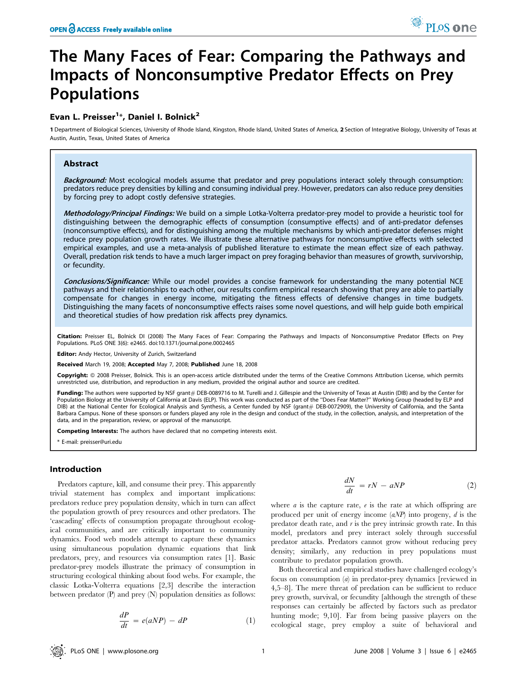# The Many Faces of Fear: Comparing the Pathways and Impacts of Nonconsumptive Predator Effects on Prey Populations

## Evan L. Preisser<sup>1</sup>\*, Daniel I. Bolnick<sup>2</sup>

1 Department of Biological Sciences, University of Rhode Island, Kingston, Rhode Island, United States of America, 2 Section of Integrative Biology, University of Texas at Austin, Austin, Texas, United States of America

## Abstract

Background: Most ecological models assume that predator and prey populations interact solely through consumption: predators reduce prey densities by killing and consuming individual prey. However, predators can also reduce prey densities by forcing prey to adopt costly defensive strategies.

Methodology/Principal Findings: We build on a simple Lotka-Volterra predator-prey model to provide a heuristic tool for distinguishing between the demographic effects of consumption (consumptive effects) and of anti-predator defenses (nonconsumptive effects), and for distinguishing among the multiple mechanisms by which anti-predator defenses might reduce prey population growth rates. We illustrate these alternative pathways for nonconsumptive effects with selected empirical examples, and use a meta-analysis of published literature to estimate the mean effect size of each pathway. Overall, predation risk tends to have a much larger impact on prey foraging behavior than measures of growth, survivorship, or fecundity.

Conclusions/Significance: While our model provides a concise framework for understanding the many potential NCE pathways and their relationships to each other, our results confirm empirical research showing that prey are able to partially compensate for changes in energy income, mitigating the fitness effects of defensive changes in time budgets. Distinguishing the many facets of nonconsumptive effects raises some novel questions, and will help guide both empirical and theoretical studies of how predation risk affects prey dynamics.

Citation: Preisser EL, Bolnick DI (2008) The Many Faces of Fear: Comparing the Pathways and Impacts of Nonconsumptive Predator Effects on Prey Populations. PLoS ONE 3(6): e2465. doi:10.1371/journal.pone.0002465

Editor: Andy Hector, University of Zurich, Switzerland

Received March 19, 2008; Accepted May 7, 2008; Published June 18, 2008

Copyright: © 2008 Preisser, Bolnick. This is an open-access article distributed under the terms of the Creative Commons Attribution License, which permits unrestricted use, distribution, and reproduction in any medium, provided the original author and source are credited.

Funding: The authors were supported by NSF grant# DEB-0089716 to M. Turelli and J. Gillespie and the University of Texas at Austin (DIB) and by the Center for Population Biology at the University of California at Davis (ELP). This work was conducted as part of the ''Does Fear Matter?'' Working Group (headed by ELP and DIB) at the National Center for Ecological Analysis and Synthesis, a Center funded by NSF (grant# DEB-0072909), the University of California, and the Santa Barbara Campus. None of these sponsors or funders played any role in the design and conduct of the study, in the collection, analysis, and interpretation of the data, and in the preparation, review, or approval of the manuscript.

Competing Interests: The authors have declared that no competing interests exist.

\* E-mail: preisser@uri.edu

## Introduction

Predators capture, kill, and consume their prey. This apparently trivial statement has complex and important implications: predators reduce prey population density, which in turn can affect the population growth of prey resources and other predators. The 'cascading' effects of consumption propagate throughout ecological communities, and are critically important to community dynamics. Food web models attempt to capture these dynamics using simultaneous population dynamic equations that link predators, prey, and resources via consumption rates [1]. Basic predator-prey models illustrate the primacy of consumption in structuring ecological thinking about food webs. For example, the classic Lotka-Volterra equations [2,3] describe the interaction between predator (P) and prey (N) population densities as follows:

$$
\frac{dP}{dt} = e(aNP) - dP \tag{1}
$$

$$
\frac{dN}{dt} = rN - aNP \tag{2}
$$

where  $a$  is the capture rate,  $e$  is the rate at which offspring are produced per unit of energy income (aNP) into progeny, d is the predator death rate, and  $r$  is the prey intrinsic growth rate. In this model, predators and prey interact solely through successful predator attacks. Predators cannot grow without reducing prey density; similarly, any reduction in prey populations must contribute to predator population growth.

Both theoretical and empirical studies have challenged ecology's focus on consumption (a) in predator-prey dynamics [reviewed in 4,5–8]. The mere threat of predation can be sufficient to reduce prey growth, survival, or fecundity [although the strength of these responses can certainly be affected by factors such as predator hunting mode; 9,10]. Far from being passive players on the ecological stage, prey employ a suite of behavioral and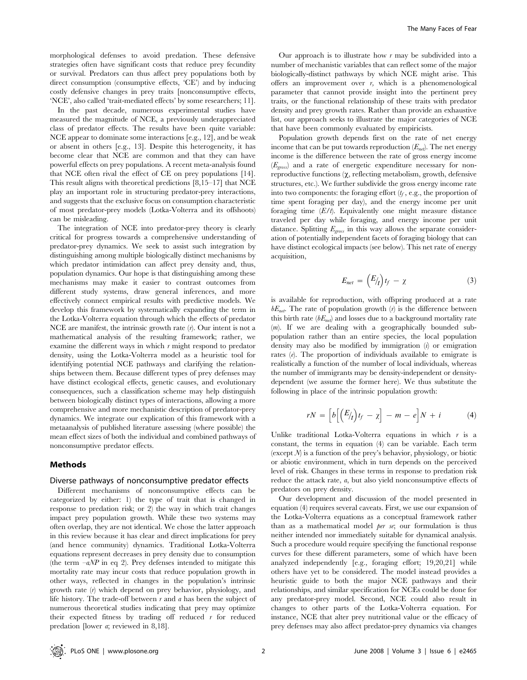morphological defenses to avoid predation. These defensive strategies often have significant costs that reduce prey fecundity or survival. Predators can thus affect prey populations both by direct consumption (consumptive effects, 'CE') and by inducing costly defensive changes in prey traits [nonconsumptive effects, 'NCE', also called 'trait-mediated effects' by some researchers; 11].

In the past decade, numerous experimental studies have measured the magnitude of NCE, a previously underappreciated class of predator effects. The results have been quite variable: NCE appear to dominate some interactions [e.g., 12], and be weak or absent in others [e.g., 13]. Despite this heterogeneity, it has become clear that NCE are common and that they can have powerful effects on prey populations. A recent meta-analysis found that NCE often rival the effect of CE on prey populations [14]. This result aligns with theoretical predictions [8,15–17] that NCE play an important role in structuring predator-prey interactions, and suggests that the exclusive focus on consumption characteristic of most predator-prey models (Lotka-Volterra and its offshoots) can be misleading.

The integration of NCE into predator-prey theory is clearly critical for progress towards a comprehensive understanding of predator-prey dynamics. We seek to assist such integration by distinguishing among multiple biologically distinct mechanisms by which predator intimidation can affect prey density and, thus, population dynamics. Our hope is that distinguishing among these mechanisms may make it easier to contrast outcomes from different study systems, draw general inferences, and more effectively connect empirical results with predictive models. We develop this framework by systematically expanding the term in the Lotka-Volterra equation through which the effects of predator NCE are manifest, the intrinsic growth rate  $(r)$ . Our intent is not a mathematical analysis of the resulting framework; rather, we examine the different ways in which  $r$  might respond to predator density, using the Lotka-Volterra model as a heuristic tool for identifying potential NCE pathways and clarifying the relationships between them. Because different types of prey defenses may have distinct ecological effects, genetic causes, and evolutionary consequences, such a classification scheme may help distinguish between biologically distinct types of interactions, allowing a more comprehensive and more mechanistic description of predator-prey dynamics. We integrate our explication of this framework with a metaanalysis of published literature assessing (where possible) the mean effect sizes of both the individual and combined pathways of nonconsumptive predator effects.

### Methods

#### Diverse pathways of nonconsumptive predator effects

Different mechanisms of nonconsumptive effects can be categorized by either: 1) the type of trait that is changed in response to predation risk; or 2) the way in which trait changes impact prey population growth. While these two systems may often overlap, they are not identical. We chose the latter approach in this review because it has clear and direct implications for prey (and hence community) dynamics. Traditional Lotka-Volterra equations represent decreases in prey density due to consumption (the term  $-aNP$  in eq 2). Prey defenses intended to mitigate this mortality rate may incur costs that reduce population growth in other ways, reflected in changes in the population's intrinsic growth rate (r) which depend on prey behavior, physiology, and life history. The trade-off between  $r$  and  $a$  has been the subject of numerous theoretical studies indicating that prey may optimize their expected fitness by trading off reduced  $r$  for reduced predation [lower a; reviewed in 8,18].

Our approach is to illustrate how  $r$  may be subdivided into a number of mechanistic variables that can reflect some of the major biologically-distinct pathways by which NCE might arise. This offers an improvement over  $r$ , which is a phenomenological parameter that cannot provide insight into the pertinent prey traits, or the functional relationship of these traits with predator density and prey growth rates. Rather than provide an exhaustive list, our approach seeks to illustrate the major categories of NCE that have been commonly evaluated by empiricists.

Population growth depends first on the rate of net energy income that can be put towards reproduction  $(E_{net})$ . The net energy income is the difference between the rate of gross energy income  $(E_{\text{meas}})$  and a rate of energetic expenditure necessary for nonreproductive functions  $(\chi,$  reflecting metabolism, growth, defensive structures, etc.). We further subdivide the gross energy income rate into two components: the foraging effort  $(t_f, e.g., t)$  he proportion of time spent foraging per day), and the energy income per unit foraging time  $(E/t)$ . Equivalently one might measure distance traveled per day while foraging, and energy income per unit distance. Splitting  $E_{\text{cross}}$  in this way allows the separate consideration of potentially independent facets of foraging biology that can have distinct ecological impacts (see below). This net rate of energy acquisition,

$$
E_{net} = (E/f) t_f - \chi \tag{3}
$$

is available for reproduction, with offspring produced at a rate  $bE_{net}$ . The rate of population growth  $(r)$  is the difference between this birth rate  $(bE_{net})$  and losses due to a background mortality rate (m). If we are dealing with a geographically bounded subpopulation rather than an entire species, the local population density may also be modified by immigration  $(i)$  or emigration rates (e). The proportion of individuals available to emigrate is realistically a function of the number of local individuals, whereas the number of immigrants may be density-independent or densitydependent (we assume the former here). We thus substitute the following in place of the intrinsic population growth:

$$
rN = \left[ b \left[ \left( \frac{E}{t} \right) t_f - \chi \right] - m - e \right] N + i \tag{4}
$$

Unlike traditional Lotka-Volterra equations in which  $r$  is a constant, the terms in equation (4) can be variable. Each term (except  $\mathcal N$ ) is a function of the prey's behavior, physiology, or biotic or abiotic environment, which in turn depends on the perceived level of risk. Changes in these terms in response to predation risk reduce the attack rate, a, but also yield nonconsumptive effects of predators on prey density.

Our development and discussion of the model presented in equation (4) requires several caveats. First, we use our expansion of the Lotka-Volterra equations as a conceptual framework rather than as a mathematical model per se; our formulation is thus neither intended nor immediately suitable for dynamical analysis. Such a procedure would require specifying the functional response curves for these different parameters, some of which have been analyzed independently [e.g., foraging effort; 19,20,21] while others have yet to be considered. The model instead provides a heuristic guide to both the major NCE pathways and their relationships, and similar specification for NCEs could be done for any predator-prey model. Second, NCE could also result in changes to other parts of the Lotka-Volterra equation. For instance, NCE that alter prey nutritional value or the efficacy of prey defenses may also affect predator-prey dynamics via changes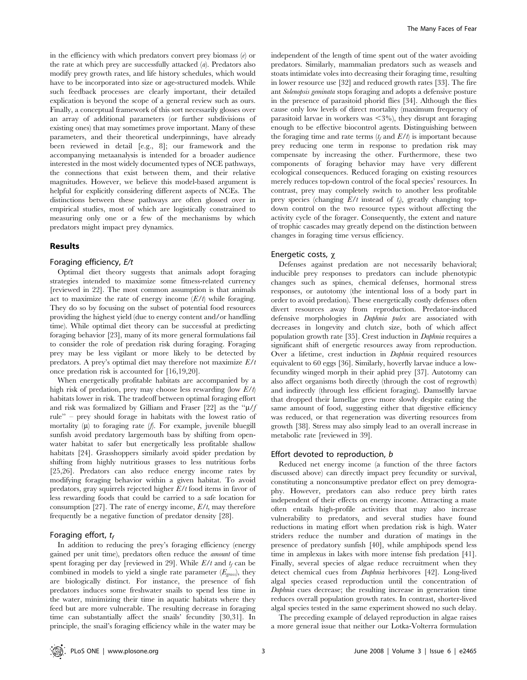in the efficiency with which predators convert prey biomass  $(e)$  or the rate at which prey are successfully attacked (a). Predators also modify prey growth rates, and life history schedules, which would have to be incorporated into size or age-structured models. While such feedback processes are clearly important, their detailed explication is beyond the scope of a general review such as ours. Finally, a conceptual framework of this sort necessarily glosses over an array of additional parameters (or further subdivisions of existing ones) that may sometimes prove important. Many of these parameters, and their theoretical underpinnings, have already been reviewed in detail [e.g., 8]; our framework and the accompanying metaanalysis is intended for a broader audience interested in the most widely documented types of NCE pathways, the connections that exist between them, and their relative magnitudes. However, we believe this model-based argument is helpful for explicitly considering different aspects of NCEs. The distinctions between these pathways are often glossed over in empirical studies, most of which are logistically constrained to measuring only one or a few of the mechanisms by which predators might impact prey dynamics.

#### Results

#### Foraging efficiency, E/t

Optimal diet theory suggests that animals adopt foraging strategies intended to maximize some fitness-related currency [reviewed in 22]. The most common assumption is that animals act to maximize the rate of energy income  $(E/t)$  while foraging. They do so by focusing on the subset of potential food resources providing the highest yield (due to energy content and/or handling time). While optimal diet theory can be successful at predicting foraging behavior [23], many of its more general formulations fail to consider the role of predation risk during foraging. Foraging prey may be less vigilant or more likely to be detected by predators. A prey's optimal diet may therefore not maximize  $E/t$ once predation risk is accounted for [16,19,20].

When energetically profitable habitats are accompanied by a high risk of predation, prey may choose less rewarding (low  $E/t$ ) habitats lower in risk. The tradeoff between optimal foraging effort and risk was formalized by Gilliam and Fraser [22] as the " $\mu$ /f rule'' – prey should forage in habitats with the lowest ratio of mortality  $(\mu)$  to foraging rate  $(f)$ . For example, juvenile bluegill sunfish avoid predatory largemouth bass by shifting from openwater habitat to safer but energetically less profitable shallow habitats [24]. Grasshoppers similarly avoid spider predation by shifting from highly nutritious grasses to less nutritious forbs [25,26]. Predators can also reduce energy income rates by modifying foraging behavior within a given habitat. To avoid predators, gray squirrels rejected higher E/t food items in favor of less rewarding foods that could be carried to a safe location for consumption [27]. The rate of energy income,  $E/t$ , may therefore frequently be a negative function of predator density [28].

#### Foraging effort,  $t_f$

In addition to reducing the prey's foraging efficiency (energy gained per unit time), predators often reduce the amount of time spent foraging per day [reviewed in 29]. While  $E/t$  and  $t_f$  can be combined in models to yield a single rate parameter  $(E_{\text{cross}})$ , they are biologically distinct. For instance, the presence of fish predators induces some freshwater snails to spend less time in the water, minimizing their time in aquatic habitats where they feed but are more vulnerable. The resulting decrease in foraging time can substantially affect the snails' fecundity [30,31]. In principle, the snail's foraging efficiency while in the water may be

independent of the length of time spent out of the water avoiding predators. Similarly, mammalian predators such as weasels and stoats intimidate voles into decreasing their foraging time, resulting in lower resource use [32] and reduced growth rates [33]. The fire ant Solenopsis geminata stops foraging and adopts a defensive posture in the presence of parasitoid phorid flies [34]. Although the flies cause only low levels of direct mortality (maximum frequency of parasitoid larvae in workers was  $\langle 3\% \rangle$ , they disrupt ant foraging enough to be effective biocontrol agents. Distinguishing between the foraging time and rate terms  $(t_f \text{ and } E/t)$  is important because prey reducing one term in response to predation risk may compensate by increasing the other. Furthermore, these two components of foraging behavior may have very different ecological consequences. Reduced foraging on existing resources merely reduces top-down control of the focal species' resources. In contrast, prey may completely switch to another less profitable prey species (changing  $E/t$  instead of  $t_j$ ), greatly changing topdown control on the two resource types without affecting the activity cycle of the forager. Consequently, the extent and nature of trophic cascades may greatly depend on the distinction between changes in foraging time versus efficiency.

#### Energetic costs,  $\chi$

Defenses against predation are not necessarily behavioral; inducible prey responses to predators can include phenotypic changes such as spines, chemical defenses, hormonal stress responses, or autotomy (the intentional loss of a body part in order to avoid predation). These energetically costly defenses often divert resources away from reproduction. Predator-induced defensive morphologies in *Daphnia pulex* are associated with decreases in longevity and clutch size, both of which affect population growth rate [35]. Crest induction in Daphnia requires a significant shift of energetic resources away from reproduction. Over a lifetime, crest induction in Daphnia required resources equivalent to 60 eggs [36]. Similarly, hoverfly larvae induce a lowfecundity winged morph in their aphid prey [37]. Autotomy can also affect organisms both directly (through the cost of regrowth) and indirectly (through less efficient foraging). Damselfly larvae that dropped their lamellae grew more slowly despite eating the same amount of food, suggesting either that digestive efficiency was reduced, or that regeneration was diverting resources from growth [38]. Stress may also simply lead to an overall increase in metabolic rate [reviewed in 39].

#### Effort devoted to reproduction, b

Reduced net energy income (a function of the three factors discussed above) can directly impact prey fecundity or survival, constituting a nonconsumptive predator effect on prey demography. However, predators can also reduce prey birth rates independent of their effects on energy income. Attracting a mate often entails high-profile activities that may also increase vulnerability to predators, and several studies have found reductions in mating effort when predation risk is high. Water striders reduce the number and duration of matings in the presence of predatory sunfish [40], while amphipods spend less time in amplexus in lakes with more intense fish predation [41]. Finally, several species of algae reduce recruitment when they detect chemical cues from Daphnia herbivores [42]. Long-lived algal species ceased reproduction until the concentration of Daphnia cues decrease; the resulting increase in generation time reduces overall population growth rates. In contrast, shorter-lived algal species tested in the same experiment showed no such delay.

The preceding example of delayed reproduction in algae raises a more general issue that neither our Lotka-Volterra formulation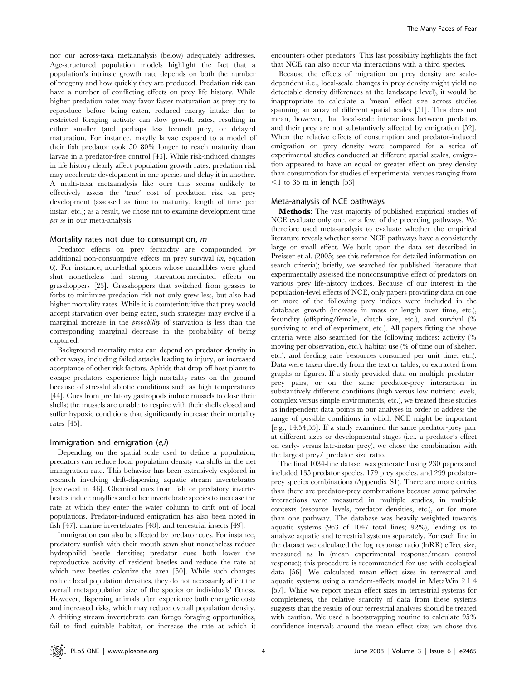nor our across-taxa metaanalysis (below) adequately addresses. Age-structured population models highlight the fact that a population's intrinsic growth rate depends on both the number of progeny and how quickly they are produced. Predation risk can have a number of conflicting effects on prey life history. While higher predation rates may favor faster maturation as prey try to reproduce before being eaten, reduced energy intake due to restricted foraging activity can slow growth rates, resulting in either smaller (and perhaps less fecund) prey, or delayed maturation. For instance, mayfly larvae exposed to a model of their fish predator took 50–80% longer to reach maturity than larvae in a predator-free control [43]. While risk-induced changes in life history clearly affect population growth rates, predation risk may accelerate development in one species and delay it in another. A multi-taxa metaanalysis like ours thus seems unlikely to effectively assess the 'true' cost of predation risk on prey development (assessed as time to maturity, length of time per instar, etc.); as a result, we chose not to examine development time per se in our meta-analysis.

#### Mortality rates not due to consumption, m

Predator effects on prey fecundity are compounded by additional non-consumptive effects on prey survival (m, equation 6). For instance, non-lethal spiders whose mandibles were glued shut nonetheless had strong starvation-mediated effects on grasshoppers [25]. Grasshoppers that switched from grasses to forbs to minimize predation risk not only grew less, but also had higher mortality rates. While it is counterintuitive that prey would accept starvation over being eaten, such strategies may evolve if a marginal increase in the probability of starvation is less than the corresponding marginal decrease in the probability of being captured.

Background mortality rates can depend on predator density in other ways, including failed attacks leading to injury, or increased acceptance of other risk factors. Aphids that drop off host plants to escape predators experience high mortality rates on the ground because of stressful abiotic conditions such as high temperatures [44]. Cues from predatory gastropods induce mussels to close their shells; the mussels are unable to respire with their shells closed and suffer hypoxic conditions that significantly increase their mortality rates [45].

#### Immigration and emigration (e,i)

Depending on the spatial scale used to define a population, predators can reduce local population density via shifts in the net immigration rate. This behavior has been extensively explored in research involving drift-dispersing aquatic stream invertebrates [reviewed in 46]. Chemical cues from fish or predatory invertebrates induce mayflies and other invertebrate species to increase the rate at which they enter the water column to drift out of local populations. Predator-induced emigration has also been noted in fish [47], marine invertebrates [48], and terrestrial insects [49].

Immigration can also be affected by predator cues. For instance, predatory sunfish with their mouth sewn shut nonetheless reduce hydrophilid beetle densities; predator cues both lower the reproductive activity of resident beetles and reduce the rate at which new beetles colonize the area [50]. While such changes reduce local population densities, they do not necessarily affect the overall metapopulation size of the species or individuals' fitness. However, dispersing animals often experience both energetic costs and increased risks, which may reduce overall population density. A drifting stream invertebrate can forego foraging opportunities, fail to find suitable habitat, or increase the rate at which it encounters other predators. This last possibility highlights the fact that NCE can also occur via interactions with a third species.

Because the effects of migration on prey density are scaledependent (i.e., local-scale changes in prey density might yield no detectable density differences at the landscape level), it would be inappropriate to calculate a 'mean' effect size across studies spanning an array of different spatial scales [51]. This does not mean, however, that local-scale interactions between predators and their prey are not substantively affected by emigration [52]. When the relative effects of consumption and predator-induced emigration on prey density were compared for a series of experimental studies conducted at different spatial scales, emigration appeared to have an equal or greater effect on prey density than consumption for studies of experimental venues ranging from  $\leq$ 1 to 35 m in length [53].

## Meta-analysis of NCE pathways

Methods: The vast majority of published empirical studies of NCE evaluate only one, or a few, of the preceding pathways. We therefore used meta-analysis to evaluate whether the empirical literature reveals whether some NCE pathways have a consistently large or small effect. We built upon the data set described in Preisser et al. (2005; see this reference for detailed information on search criteria); briefly, we searched for published literature that experimentally assessed the nonconsumptive effect of predators on various prey life-history indices. Because of our interest in the population-level effects of NCE, only papers providing data on one or more of the following prey indices were included in the database: growth (increase in mass or length over time, etc.), fecundity (offspring/female, clutch size, etc.), and survival (% surviving to end of experiment, etc.). All papers fitting the above criteria were also searched for the following indices: activity (% moving per observation, etc.), habitat use (% of time out of shelter, etc.), and feeding rate (resources consumed per unit time, etc.). Data were taken directly from the text or tables, or extracted from graphs or figures. If a study provided data on multiple predatorprey pairs, or on the same predator-prey interaction in substantively different conditions (high versus low nutrient levels, complex versus simple environments, etc.), we treated these studies as independent data points in our analyses in order to address the range of possible conditions in which NCE might be important [e.g., 14,54,55]. If a study examined the same predator-prey pair at different sizes or developmental stages (i.e., a predator's effect on early- versus late-instar prey), we chose the combination with the largest prey/ predator size ratio.

The final 1034-line dataset was generated using 230 papers and included 135 predator species, 179 prey species, and 299 predatorprey species combinations (Appendix S1). There are more entries than there are predator-prey combinations because some pairwise interactions were measured in multiple studies, in multiple contexts (resource levels, predator densities, etc.), or for more than one pathway. The database was heavily weighted towards aquatic systems (963 of 1047 total lines; 92%), leading us to analyze aquatic and terrestrial systems separately. For each line in the dataset we calculated the log response ratio (lnRR) effect size, measured as ln (mean experimental response/mean control response); this procedure is recommended for use with ecological data [56]. We calculated mean effect sizes in terrestrial and aquatic systems using a random-effects model in MetaWin 2.1.4 [57]. While we report mean effect sizes in terrestrial systems for completeness, the relative scarcity of data from these systems suggests that the results of our terrestrial analyses should be treated with caution. We used a bootstrapping routine to calculate 95% confidence intervals around the mean effect size; we chose this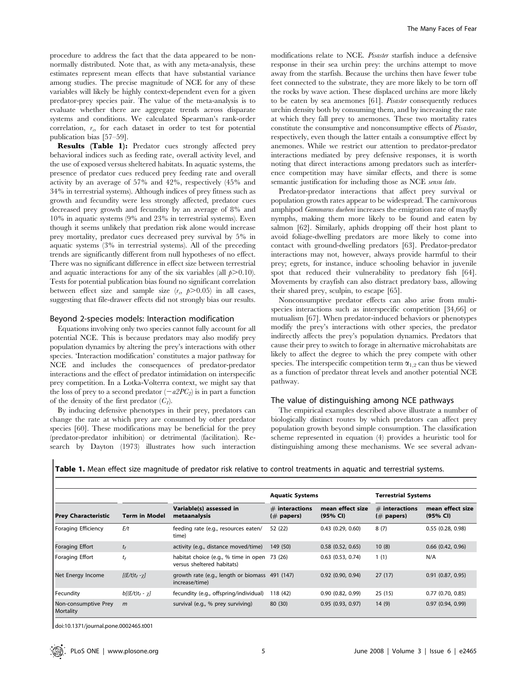procedure to address the fact that the data appeared to be nonnormally distributed. Note that, as with any meta-analysis, these estimates represent mean effects that have substantial variance among studies. The precise magnitude of NCE for any of these variables will likely be highly context-dependent even for a given predator-prey species pair. The value of the meta-analysis is to evaluate whether there are aggregate trends across disparate systems and conditions. We calculated Spearman's rank-order correlation,  $r_s$ , for each dataset in order to test for potential publication bias [57–59].

Results (Table 1): Predator cues strongly affected prey behavioral indices such as feeding rate, overall activity level, and the use of exposed versus sheltered habitats. In aquatic systems, the presence of predator cues reduced prey feeding rate and overall activity by an average of 57% and 42%, respectively (45% and 34% in terrestrial systems). Although indices of prey fitness such as growth and fecundity were less strongly affected, predator cues decreased prey growth and fecundity by an average of 8% and 10% in aquatic systems (9% and 23% in terrestrial systems). Even though it seems unlikely that predation risk alone would increase prey mortality, predator cues decreased prey survival by 5% in aquatic systems (3% in terrestrial systems). All of the preceding trends are significantly different from null hypotheses of no effect. There was no significant difference in effect size between terrestrial and aquatic interactions for any of the six variables (all  $p > 0.10$ ). Tests for potential publication bias found no significant correlation between effect size and sample size  $(r_s, p>0.05)$  in all cases, suggesting that file-drawer effects did not strongly bias our results.

#### Beyond 2-species models: Interaction modification

Equations involving only two species cannot fully account for all potential NCE. This is because predators may also modify prey population dynamics by altering the prey's interactions with other species. 'Interaction modification' constitutes a major pathway for NCE and includes the consequences of predator-predator interactions and the effect of predator intimidation on interspecific prey competition. In a Lotka-Volterra context, we might say that the loss of prey to a second predator  $(-a2PC_2)$  is in part a function of the density of the first predator  $(C_1)$ .

By inducing defensive phenotypes in their prey, predators can change the rate at which prey are consumed by other predator species [60]. These modifications may be beneficial for the prey (predator-predator inhibition) or detrimental (facilitation). Research by Dayton (1973) illustrates how such interaction modifications relate to NCE. Pisaster starfish induce a defensive response in their sea urchin prey: the urchins attempt to move away from the starfish. Because the urchins then have fewer tube feet connected to the substrate, they are more likely to be torn off the rocks by wave action. These displaced urchins are more likely to be eaten by sea anemones [61]. Pisaster consequently reduces urchin density both by consuming them, and by increasing the rate at which they fall prey to anemones. These two mortality rates constitute the consumptive and nonconsumptive effects of Pisaster, respectively, even though the latter entails a consumptive effect by anemones. While we restrict our attention to predator-predator interactions mediated by prey defensive responses, it is worth noting that direct interactions among predators such as interference competition may have similar effects, and there is some semantic justification for including those as NCE sensu lato.

Predator-predator interactions that affect prey survival or population growth rates appear to be widespread. The carnivorous amphipod Gammarus duebeni increases the emigration rate of mayfly nymphs, making them more likely to be found and eaten by salmon [62]. Similarly, aphids dropping off their host plant to avoid foliage-dwelling predators are more likely to come into contact with ground-dwelling predators [63]. Predator-predator interactions may not, however, always provide harmful to their prey; egrets, for instance, induce schooling behavior in juvenile spot that reduced their vulnerability to predatory fish [64]. Movements by crayfish can also distract predatory bass, allowing their shared prey, sculpin, to escape [65].

Nonconsumptive predator effects can also arise from multispecies interactions such as interspecific competition [34,66] or mutualism [67]. When predator-induced behaviors or phenotypes modify the prey's interactions with other species, the predator indirectly affects the prey's population dynamics. Predators that cause their prey to switch to forage in alternative microhabitats are likely to affect the degree to which the prey compete with other species. The interspecific competition term  $\alpha_{1,2}$  can thus be viewed as a function of predator threat levels and another potential NCE pathway.

#### The value of distinguishing among NCE pathways

The empirical examples described above illustrate a number of biologically distinct routes by which predators can affect prey population growth beyond simple consumption. The classification scheme represented in equation (4) provides a heuristic tool for distinguishing among these mechanisms. We see several advan-

| Table 1. Mean effect size magnitude of predator risk relative to control treatments in aquatic and terrestrial systems |  |
|------------------------------------------------------------------------------------------------------------------------|--|
|------------------------------------------------------------------------------------------------------------------------|--|

|                                   |                        |                                                                            | <b>Aquatic Systems</b>            |                              | <b>Terrestrial Systems</b>        |                              |  |
|-----------------------------------|------------------------|----------------------------------------------------------------------------|-----------------------------------|------------------------------|-----------------------------------|------------------------------|--|
| <b>Prey Characteristic</b>        | <b>Term in Model</b>   | Variable(s) assessed in<br>metaanalysis                                    | $#$ interactions<br>$(\#$ papers) | mean effect size<br>(95% CI) | $#$ interactions<br>$(\#$ papers) | mean effect size<br>(95% CI) |  |
| Foraging Efficiency               | E/t                    | feeding rate (e.g., resources eaten/<br>time)                              | 52 (22)                           | $0.43$ $(0.29, 0.60)$        | 8(7)                              | 0.55(0.28, 0.98)             |  |
| Foraging Effort                   | $t_f$                  | activity (e.g., distance moved/time)                                       | 149 (50)                          | $0.58$ $(0.52, 0.65)$        | 10(8)                             | $0.66$ $(0.42, 0.96)$        |  |
| Foraging Effort                   | $t_f$                  | habitat choice (e.g., % time in open 73 (26)<br>versus sheltered habitats) |                                   | $0.63$ $(0.53, 0.74)$        | 1(1)                              | N/A                          |  |
| Net Energy Income                 | $[(E/t)t_f - \gamma]$  | growth rate (e.g., length or biomass 491 (147)<br>increase/time)           |                                   | $0.92$ (0.90, 0.94)          | 27(17)                            | $0.91$ (0.87, 0.95)          |  |
| Fecundity                         | $b[(E/t)t_f - \gamma]$ | fecundity (e.g., offspring/individual)                                     | 118 (42)                          | 0.90(0.82, 0.99)             | 25(15)                            | $0.77$ (0.70, 0.85)          |  |
| Non-consumptive Prey<br>Mortality | m                      | survival (e.g., % prey surviving)                                          | 80 (30)                           | 0.95(0.93, 0.97)             | 14(9)                             | 0.97(0.94, 0.99)             |  |

doi:10.1371/journal.pone.0002465.t001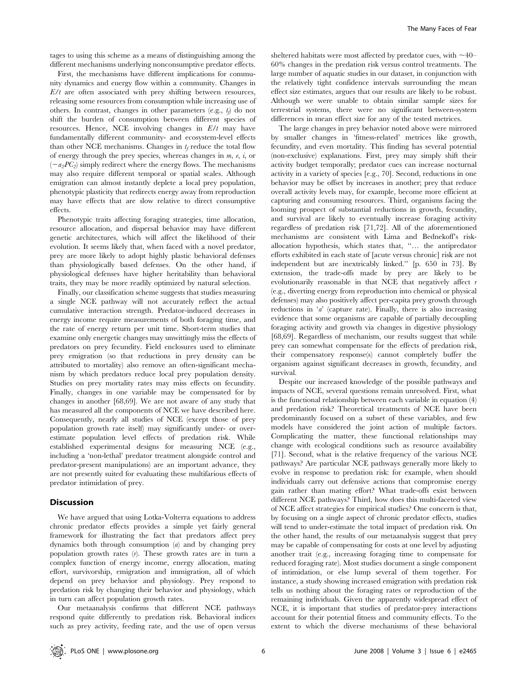tages to using this scheme as a means of distinguishing among the different mechanisms underlying nonconsumptive predator effects.

First, the mechanisms have different implications for community dynamics and energy flow within a community. Changes in  $E/t$  are often associated with prey shifting between resources, releasing some resources from consumption while increasing use of others. In contrast, changes in other parameters (e.g.,  $t_j$ ) do not shift the burden of consumption between different species of resources. Hence, NCE involving changes in  $E/t$  may have fundamentally different community- and ecosystem-level effects than other NCE mechanisms. Changes in  $t_f$  reduce the total flow of energy through the prey species, whereas changes in  $m$ ,  $e$ ,  $i$ , or  $(-a_2PC_2)$  simply redirect where the energy flows. The mechanisms may also require different temporal or spatial scales. Although emigration can almost instantly deplete a local prey population, phenotypic plasticity that redirects energy away from reproduction may have effects that are slow relative to direct consumptive effects.

Phenotypic traits affecting foraging strategies, time allocation, resource allocation, and dispersal behavior may have different genetic architectures, which will affect the likelihood of their evolution. It seems likely that, when faced with a novel predator, prey are more likely to adopt highly plastic behavioral defenses than physiologically based defenses. On the other hand, if physiological defenses have higher heritability than behavioral traits, they may be more readily optimized by natural selection.

Finally, our classification scheme suggests that studies measuring a single NCE pathway will not accurately reflect the actual cumulative interaction strength. Predator-induced decreases in energy income require measurements of both foraging time, and the rate of energy return per unit time. Short-term studies that examine only energetic changes may unwittingly miss the effects of predators on prey fecundity. Field enclosures used to eliminate prey emigration (so that reductions in prey density can be attributed to mortality) also remove an often-significant mechanism by which predators reduce local prey population density. Studies on prey mortality rates may miss effects on fecundity. Finally, changes in one variable may be compensated for by changes in another [68,69]. We are not aware of any study that has measured all the components of NCE we have described here. Consequently, nearly all studies of NCE (except those of prey population growth rate itself) may significantly under- or overestimate population level effects of predation risk. While established experimental designs for measuring NCE (e.g., including a 'non-lethal' predator treatment alongside control and predator-present manipulations) are an important advance, they are not presently suited for evaluating these multifarious effects of predator intimidation of prey.

### Discussion

We have argued that using Lotka-Volterra equations to address chronic predator effects provides a simple yet fairly general framework for illustrating the fact that predators affect prey dynamics both through consumption (a) and by changing prey population growth rates  $(r)$ . These growth rates are in turn a complex function of energy income, energy allocation, mating effort, survivorship, emigration and immigration, all of which depend on prey behavior and physiology. Prey respond to predation risk by changing their behavior and physiology, which in turn can affect population growth rates.

Our metaanalysis confirms that different NCE pathways respond quite differently to predation risk. Behavioral indices such as prey activity, feeding rate, and the use of open versus

sheltered habitats were most affected by predator cues, with  $\sim$ 40– 60% changes in the predation risk versus control treatments. The large number of aquatic studies in our dataset, in conjunction with the relatively tight confidence intervals surrounding the mean effect size estimates, argues that our results are likely to be robust. Although we were unable to obtain similar sample sizes for terrestrial systems, there were no significant between-system differences in mean effect size for any of the tested metrices.

The large changes in prey behavior noted above were mirrored by smaller changes in 'fitness-related' metrices like growth, fecundity, and even mortality. This finding has several potential (non-exclusive) explanations. First, prey may simply shift their activity budget temporally; predator cues can increase nocturnal activity in a variety of species [e.g., 70]. Second, reductions in one behavior may be offset by increases in another; prey that reduce overall activity levels may, for example, become more efficient at capturing and consuming resources. Third, organisms facing the looming prospect of substantial reductions in growth, fecundity, and survival are likely to eventually increase foraging activity regardless of predation risk [71,72]. All of the aforementioned mechanisms are consistent with Lima and Bednekoff's riskallocation hypothesis, which states that, ''… the antipredator efforts exhibited in each state of [acute versus chronic] risk are not independent but are inextricably linked.'' [p. 650 in 73]. By extension, the trade-offs made by prey are likely to be evolutionarily reasonable in that NCE that negatively affect r (e.g., diverting energy from reproduction into chemical or physical defenses) may also positively affect per-capita prey growth through reductions in 'a' (capture rate). Finally, there is also increasing evidence that some organisms are capable of partially decoupling foraging activity and growth via changes in digestive physiology [68,69]. Regardless of mechanism, our results suggest that while prey can somewhat compensate for the effects of predation risk, their compensatory response(s) cannot completely buffer the organism against significant decreases in growth, fecundity, and survival.

Despite our increased knowledge of the possible pathways and impacts of NCE, several questions remain unresolved. First, what is the functional relationship between each variable in equation (4) and predation risk? Theoretical treatments of NCE have been predominantly focused on a subset of these variables, and few models have considered the joint action of multiple factors. Complicating the matter, these functional relationships may change with ecological conditions such as resource availability [71]. Second, what is the relative frequency of the various NCE pathways? Are particular NCE pathways generally more likely to evolve in response to predation risk: for example, when should individuals carry out defensive actions that compromise energy gain rather than mating effort? What trade-offs exist between different NCE pathways? Third, how does this multi-faceted view of NCE affect strategies for empirical studies? One concern is that, by focusing on a single aspect of chronic predator effects, studies will tend to under-estimate the total impact of predation risk. On the other hand, the results of our metaanalysis suggest that prey may be capable of compensating for costs at one level by adjusting another trait (e.g., increasing foraging time to compensate for reduced foraging rate). Most studies document a single component of intimidation, or else lump several of them together. For instance, a study showing increased emigration with predation risk tells us nothing about the foraging rates or reproduction of the remaining individuals. Given the apparently widespread effect of NCE, it is important that studies of predator-prey interactions account for their potential fitness and community effects. To the extent to which the diverse mechanisms of these behavioral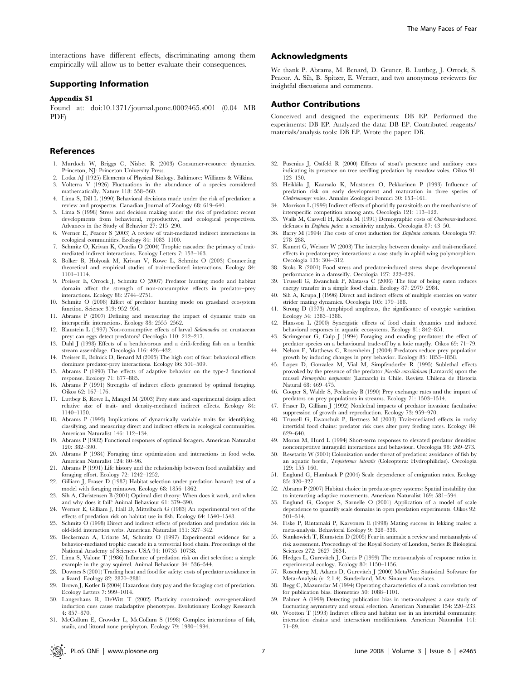interactions have different effects, discriminating among them empirically will allow us to better evaluate their consequences.

## Supporting Information

#### Appendix S1

Found at: doi:10.1371/journal.pone.0002465.s001 (0.04 MB PDF)

#### References

- 1. Murdoch W, Briggs C, Nisbet R (2003) Consumer-resource dynamics. Princeton, NJ: Princeton University Press.
- 2. Lotka AJ (1925) Elements of Physical Biology. Baltimore: Williams & Wilkins.
- 3. Volterra V (1926) Fluctuations in the abundance of a species considered mathematically. Nature 118: 558–560.
- 4. Lima S, Dill L (1990) Behavioral decisions made under the risk of predation: a review and prospectus. Canadian Journal of Zoology 68: 619–640.
- 5. Lima S (1998) Stress and decision making under the risk of predation: recent developments from behavioral, reproductive, and ecological perspectives. Advances in the Study of Behavior 27: 215–290.
- 6. Werner E, Peacor S (2003) A review of trait-mediated indirect interactions in ecological communities. Ecology 84: 1083–1100.
- 7. Schmitz O, Krivan K, Ovadia O (2004) Trophic cascades: the primacy of traitmediated indirect interactions. Ecology Letters 7: 153–163.
- 8. Bolker B, Holyoak M, Krivan V, Rowe L, Schmitz O (2003) Connecting theoretical and empirical studies of trait-mediated interactions. Ecology 84: 1101–1114.
- 9. Preisser E, Orrock J, Schmitz O (2007) Predator hunting mode and habitat domain affect the strength of non-consumptive effects in predator–prey interactions. Ecology 88: 2744–2751.
- 10. Schmitz O (2008) Effect of predator hunting mode on grassland ecosystem function. Science 319: 952–954.
- 11. Abrams P (2007) Defining and measuring the impact of dynamic traits on interspecific interactions. Ecology 88: 2555–2562.
- 12. Blaustein L (1997) Non-consumptive effects of larval Salamandra on crustacean prey: can eggs detect predators? Oecologia 110: 212–217.
- 13. Dahl J (1998) Effects of a benthivorous and a drift-feeding fish on a benthic stream assemblage. Oecologia 116: 426–432.
- 14. Preisser E, Bolnick D, Benard M (2005) The high cost of fear: behavioral effects dominate predator-prey interactions. Ecology 86: 501–509.
- 15. Abrams P (1990) The effects of adaptive behavior on the type-2 functional response. Ecology 71: 877–885.
- 16. Abrams P (1991) Strengths of indirect effects generated by optimal foraging. Oikos 62: 167–176.
- 17. Luttbeg B, Rowe L, Mangel M (2003) Prey state and experimental design affect relative size of trait- and density-mediated indirect effects. Ecology 84: 1140–1150.
- 18. Abrams P (1995) Implications of dynamically variable traits for identifying, classifying, and measuring direct and indirect effects in ecological communities. American Naturalist 146: 112–134.
- 19. Abrams P (1982) Functional responses of optimal foragers. American Naturalist 120: 382–390.
- 20. Abrams P (1984) Foraging time optimization and interactions in food webs. American Naturalist 124: 80–96.
- 21. Abrams P (1991) Life history and the relationship between food availability and foraging effort. Ecology 72: 1242–1252.
- 22. Gilliam J, Fraser D (1987) Habitat selection under predation hazard: test of a model with foraging minnows. Ecology 68: 1856–1862.
- 23. Sih A, Christensen B (2001) Optimal diet theory: When does it work, and when and why does it fail? Animal Behaviour 61: 379–390.
- 24. Werner E, Gilliam J, Hall D, Mittelbach G (1983) An experimental test of the effects of predation risk on habitat use in fish. Ecology 64: 1540–1548.
- 25. Schmitz O (1998) Direct and indirect effects of predation and predation risk in old-field interaction webs. American Naturalist 151: 327–342.
- 26. Beckerman A, Uriarte M, Schmitz O (1997) Experimental evidence for a behavior-mediated trophic cascade in a terrestrial food chain. Proceedings of the National Academy of Sciences USA 94: 10735–10738.
- 27. Lima S, Valone T (1986) Influence of predation risk on diet selection: a simple example in the gray squirrel. Animal Behaviour 34: 536–544.
- 28. Downes S (2001) Trading heat and food for safety: costs of predator avoidance in a lizard. Ecology 82: 2870–2881.
- 29. Brown J, Kotler B (2004) Hazardous duty pay and the foraging cost of predation. Ecology Letters 7: 999–1014.
- 30. Langerhans R, DeWitt T (2002) Plasticity constrained: over-generalized induction cues cause maladaptive phenotypes. Evolutionary Ecology Research 4: 857–870.
- 31. McCollum E, Crowder L, McCollum S (1998) Complex interactions of fish, snails, and littoral zone periphyton. Ecology 79: 1980–1994.

## Acknowledgments

We thank P. Abrams, M. Benard, D. Gruner, B. Luttbeg, J. Orrock, S. Peacor, A. Sih, B. Spitzer, E. Werner, and two anonymous reviewers for insightful discussions and comments.

#### Author Contributions

Conceived and designed the experiments: DB EP. Performed the experiments: DB EP. Analyzed the data: DB EP. Contributed reagents/ materials/analysis tools: DB EP. Wrote the paper: DB.

- 32. Pusenius J, Ostfeld R (2000) Effects of stoat's presence and auditory cues indicating its presence on tree seedling predation by meadow voles. Oikos 91: 123–130.
- 33. Heikkila J, Kaarsalo K, Mustonen O, Pekkarinen P (1993) Influence of predation risk on early development and maturation in three species of Clethrionomys voles. Annales Zoologici Fennici 30: 153–161.
- 34. Morrison L (1999) Indirect effects of phorid fly parasitoids on the mechanisms of interspecific competition among ants. Oecologia 121: 113–122.
- 35. Walls M, Caswell H, Ketola M (1991) Demographic costs of Chaoborus-induced defenses in Daphnia pulex: a sensitivity analysis. Oecologia 87: 43–50.
- 36. Barry M (1994) The costs of crest induction for Daphnia carinata. Oecologia 97: 278–288.
- 37. Kunert G, Weisser W (2003) The interplay between density- and trait-mediated effects in predator-prey interactions: a case study in aphid wing polymorphism. Oecologia 135: 304–312.
- 38. Stoks R (2001) Food stress and predator-induced stress shape developmental performance in a damselfly. Oecologia 127: 222–229.
- 39. Trussell G, Ewanchuk P, Matassa C (2006) The fear of being eaten reduces energy transfer in a simple food chain. Ecology 87: 2979–2984.
- 40. Sih A, Krupa J (1996) Direct and indirect effects of multiple enemies on water strider mating dynamics. Oecologia 105: 179–188.
- 41. Strong D (1973) Amphipod amplexus, the significance of ecotypic variation. Ecology 54: 1383–1388.
- 42. Hansson L (2000) Synergistic effects of food chain dynamics and induced behavioral responses in aquatic ecosystems. Ecology 81: 842–851.
- 43. Scrimgeour G, Culp J (1994) Foraging and evading predators: the effect of predator species on a behavioural trade-off by a lotic mayfly. Oikos 69: 71–79.
- 44. Nelson E, Matthews C, Rosenheim J (2004) Predators reduce prey population growth by inducing changes in prey behavior. Ecology 85: 1853–1858.
- 45. Lopez D, Gonzalez M, Vial M, Simpfendorfer R (1995) Sublethal effects provoked by the presence of the predator Nucella crassilabrum (Lamarck) upon the mussel Perumytilus purpuratus (Lamarck) in Chile. Revista Chilena de Historia Natural 68: 469–475.
- 46. Cooper S, Walde S, Peckarsky B (1990) Prey exchange rates and the impact of predators on prey populations in streams. Ecology 71: 1503–1514.
- 47. Fraser D, Gilliam J (1992) Nonlethal impacts of predator invasion: facultative suppression of growth and reproduction. Ecology 73: 959–970.
- 48. Trussell G, Ewanchuk P, Bertness M (2003) Trait-mediated effects in rocky intertidal food chains: predator risk cues alter prey feeding rates. Ecology 84: 629–640.
- 49. Moran M, Hurd L (1994) Short-term responses to elevated predator densities: noncompetitive intraguild interactions and behaviour. Oecologia 98: 269–273.
- 50. Resetarits W (2001) Colonization under threat of predation: avoidance of fish by an aquatic beetle, Tropisternus lateralis (Coleoptera: Hydrophilidae). Oecologia 129: 155–160.
- 51. Englund G, Hamback P (2004) Scale dependence of emigration rates. Ecology 85: 320–327.
- 52. Abrams P (2007) Habitat choice in predator-prey systems: Spatial instability due to interacting adaptive movements. American Naturalist 169: 581–594.
- 53. Englund G, Cooper S, Sarnelle O (2001) Application of a model of scale dependence to quantify scale domains in open predation experiments. Oikos 92: 501–514.
- 54. Fiske P, Rintamäki P, Karvonen E (1998) Mating success in lekking males: a meta-analysis. Behavioral Ecology 9: 328–338.
- 55. Stankowich T, Blumstein D (2005) Fear in animals: a review and metaanalysis of risk assessment. Proceedings of the Royal Society of London, Series B: Biological Sciences 272: 2627–2634.
- 56. Hedges L, Gurevitch J, Curtis P (1999) The meta-analysis of response ratios in experimental ecology. Ecology 80: 1150–1156.
- 57. Rosenberg M, Adams D, Gurevitch J (2000) MetaWin: Statistical Software for Meta-Analysis (v. 2.1.4). Sunderland, MA: Sinauer Associates.
- 58. Begg C, Mazumdar M (1994) Operating characteristics of a rank correlation test for publication bias. Biometrics 50: 1088–1101.
- 59. Palmer A (1999) Detecting publication bias in meta-analyses: a case study of fluctuating asymmetry and sexual selection. American Naturalist 154: 220–233.
- 60. Wootton T (1993) Indirect effects and habitat use in an intertidal community: interaction chains and interaction modifications. American Naturalist 141: 71–89.